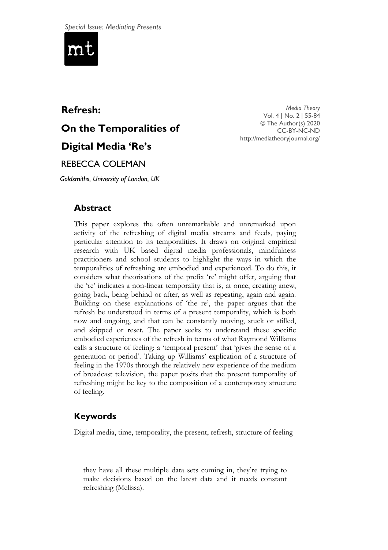

# **Refresh: On the Temporalities of Digital Media 'Re's**

*Media Theory* Vol. 4 | No. 2 | 55-84 © The Author(s) 2020 CC-BY-NC-ND <http://mediatheoryjournal.org/>

# REBECCA COLEMAN

*Goldsmiths, University of London, UK*

# **Abstract**

This paper explores the often unremarkable and unremarked upon activity of the refreshing of digital media streams and feeds, paying particular attention to its temporalities. It draws on original empirical research with UK based digital media professionals, mindfulness practitioners and school students to highlight the ways in which the temporalities of refreshing are embodied and experienced. To do this, it considers what theorisations of the prefix 're' might offer, arguing that the ‗re' indicates a non-linear temporality that is, at once, creating anew, going back, being behind or after, as well as repeating, again and again. Building on these explanations of 'the re', the paper argues that the refresh be understood in terms of a present temporality, which is both now and ongoing, and that can be constantly moving, stuck or stilled, and skipped or reset. The paper seeks to understand these specific embodied experiences of the refresh in terms of what Raymond Williams calls a structure of feeling: a 'temporal present' that 'gives the sense of a generation or period'. Taking up Williams' explication of a structure of feeling in the 1970s through the relatively new experience of the medium of broadcast television, the paper posits that the present temporality of refreshing might be key to the composition of a contemporary structure of feeling.

# **Keywords**

Digital media, time, temporality, the present, refresh, structure of feeling

they have all these multiple data sets coming in, they're trying to make decisions based on the latest data and it needs constant refreshing (Melissa).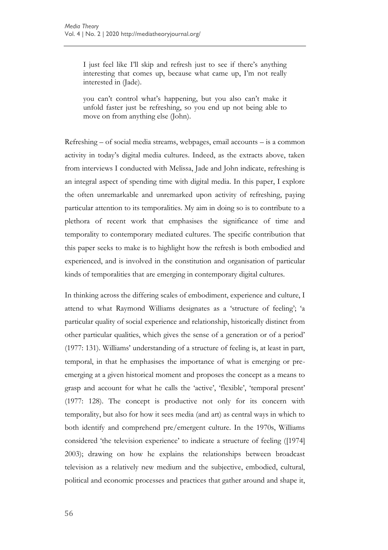I just feel like I'll skip and refresh just to see if there's anything interesting that comes up, because what came up, I'm not really interested in (Jade).

you can't control what's happening, but you also can't make it unfold faster just be refreshing, so you end up not being able to move on from anything else (John).

Refreshing – of social media streams, webpages, email accounts – is a common activity in today's digital media cultures. Indeed, as the extracts above, taken from interviews I conducted with Melissa, Jade and John indicate, refreshing is an integral aspect of spending time with digital media. In this paper, I explore the often unremarkable and unremarked upon activity of refreshing, paying particular attention to its temporalities. My aim in doing so is to contribute to a plethora of recent work that emphasises the significance of time and temporality to contemporary mediated cultures. The specific contribution that this paper seeks to make is to highlight how the refresh is both embodied and experienced, and is involved in the constitution and organisation of particular kinds of temporalities that are emerging in contemporary digital cultures.

In thinking across the differing scales of embodiment, experience and culture, I attend to what Raymond Williams designates as a 'structure of feeling'; 'a particular quality of social experience and relationship, historically distinct from other particular qualities, which gives the sense of a generation or of a period' (1977: 131). Williams' understanding of a structure of feeling is, at least in part, temporal, in that he emphasises the importance of what is emerging or preemerging at a given historical moment and proposes the concept as a means to grasp and account for what he calls the 'active', 'flexible', 'temporal present' (1977: 128). The concept is productive not only for its concern with temporality, but also for how it sees media (and art) as central ways in which to both identify and comprehend pre/emergent culture. In the 1970s, Williams considered 'the television experience' to indicate a structure of feeling ([1974] 2003); drawing on how he explains the relationships between broadcast television as a relatively new medium and the subjective, embodied, cultural, political and economic processes and practices that gather around and shape it,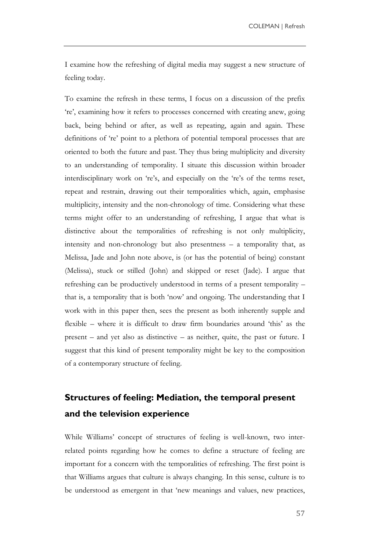I examine how the refreshing of digital media may suggest a new structure of feeling today.

To examine the refresh in these terms, I focus on a discussion of the prefix ‗re', examining how it refers to processes concerned with creating anew, going back, being behind or after, as well as repeating, again and again. These definitions of 're' point to a plethora of potential temporal processes that are oriented to both the future and past. They thus bring multiplicity and diversity to an understanding of temporality. I situate this discussion within broader interdisciplinary work on 're's, and especially on the 're's of the terms reset, repeat and restrain, drawing out their temporalities which, again, emphasise multiplicity, intensity and the non-chronology of time. Considering what these terms might offer to an understanding of refreshing, I argue that what is distinctive about the temporalities of refreshing is not only multiplicity, intensity and non-chronology but also presentness – a temporality that, as Melissa, Jade and John note above, is (or has the potential of being) constant (Melissa), stuck or stilled (John) and skipped or reset (Jade). I argue that refreshing can be productively understood in terms of a present temporality – that is, a temporality that is both 'now' and ongoing. The understanding that I work with in this paper then, sees the present as both inherently supple and flexible – where it is difficult to draw firm boundaries around 'this' as the present – and yet also as distinctive – as neither, quite, the past or future. I suggest that this kind of present temporality might be key to the composition of a contemporary structure of feeling.

# **Structures of feeling: Mediation, the temporal present and the television experience**

While Williams' concept of structures of feeling is well-known, two interrelated points regarding how he comes to define a structure of feeling are important for a concern with the temporalities of refreshing. The first point is that Williams argues that culture is always changing. In this sense, culture is to be understood as emergent in that 'new meanings and values, new practices,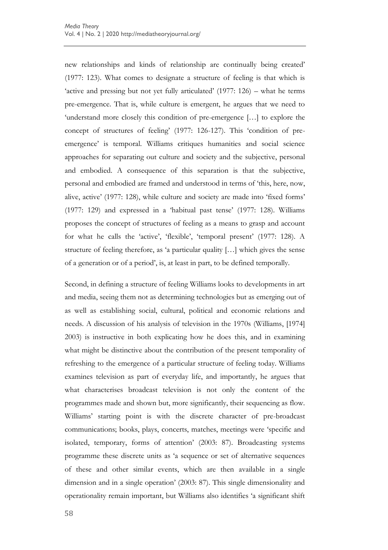new relationships and kinds of relationship are continually being created' (1977: 123). What comes to designate a structure of feeling is that which is 'active and pressing but not yet fully articulated'  $(1977: 126)$  – what he terms pre-emergence. That is, while culture is emergent, he argues that we need to 'understand more closely this condition of pre-emergence [...] to explore the concept of structures of feeling' (1977: 126-127). This 'condition of preemergence' is temporal. Williams critiques humanities and social science approaches for separating out culture and society and the subjective, personal and embodied. A consequence of this separation is that the subjective, personal and embodied are framed and understood in terms of 'this, here, now, alive, active' (1977: 128), while culture and society are made into 'fixed forms' (1977: 129) and expressed in a 'habitual past tense' (1977: 128). Williams proposes the concept of structures of feeling as a means to grasp and account for what he calls the 'active', 'flexible', 'temporal present' (1977: 128). A structure of feeling therefore, as 'a particular quality [...] which gives the sense of a generation or of a period', is, at least in part, to be defined temporally.

Second, in defining a structure of feeling Williams looks to developments in art and media, seeing them not as determining technologies but as emerging out of as well as establishing social, cultural, political and economic relations and needs. A discussion of his analysis of television in the 1970s (Williams, [1974] 2003) is instructive in both explicating how he does this, and in examining what might be distinctive about the contribution of the present temporality of refreshing to the emergence of a particular structure of feeling today. Williams examines television as part of everyday life, and importantly, he argues that what characterises broadcast television is not only the content of the programmes made and shown but, more significantly, their sequencing as flow. Williams' starting point is with the discrete character of pre-broadcast communications; books, plays, concerts, matches, meetings were 'specific and isolated, temporary, forms of attention' (2003: 87). Broadcasting systems programme these discrete units as 'a sequence or set of alternative sequences of these and other similar events, which are then available in a single dimension and in a single operation' (2003: 87). This single dimensionality and operationality remain important, but Williams also identifies ‗a significant shift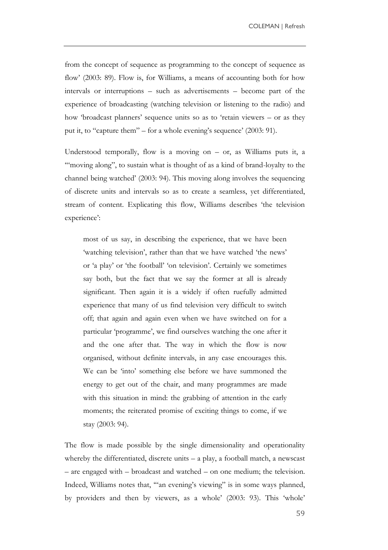from the concept of sequence as programming to the concept of sequence as flow' (2003: 89). Flow is, for Williams, a means of accounting both for how intervals or interruptions – such as advertisements – become part of the experience of broadcasting (watching television or listening to the radio) and how 'broadcast planners' sequence units so as to 'retain viewers – or as they put it, to "capture them" – for a whole evening's sequence' (2003: 91).

Understood temporally, flow is a moving on  $-$  or, as Williams puts it, a "moving along", to sustain what is thought of as a kind of brand-loyalty to the channel being watched' (2003: 94). This moving along involves the sequencing of discrete units and intervals so as to create a seamless, yet differentiated, stream of content. Explicating this flow, Williams describes 'the television experience':

most of us say, in describing the experience, that we have been ‗watching television', rather than that we have watched ‗the news' or 'a play' or 'the football' 'on television'. Certainly we sometimes say both, but the fact that we say the former at all is already significant. Then again it is a widely if often ruefully admitted experience that many of us find television very difficult to switch off; that again and again even when we have switched on for a particular 'programme', we find ourselves watching the one after it and the one after that. The way in which the flow is now organised, without definite intervals, in any case encourages this. We can be 'into' something else before we have summoned the energy to get out of the chair, and many programmes are made with this situation in mind: the grabbing of attention in the early moments; the reiterated promise of exciting things to come, if we stay (2003: 94).

The flow is made possible by the single dimensionality and operationality whereby the differentiated, discrete units – a play, a football match, a newscast – are engaged with – broadcast and watched – on one medium; the television. Indeed, Williams notes that, ""an evening's viewing" is in some ways planned, by providers and then by viewers, as a whole' (2003: 93). This 'whole'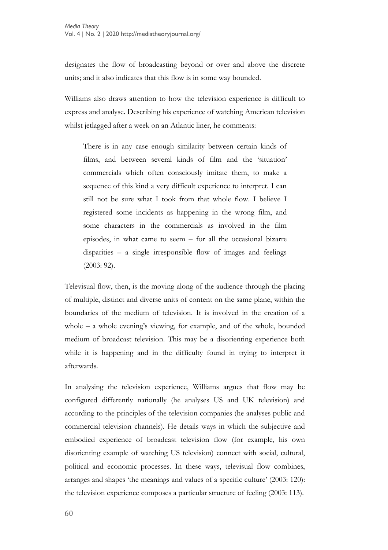designates the flow of broadcasting beyond or over and above the discrete units; and it also indicates that this flow is in some way bounded.

Williams also draws attention to how the television experience is difficult to express and analyse. Describing his experience of watching American television whilst jetlagged after a week on an Atlantic liner, he comments:

There is in any case enough similarity between certain kinds of films, and between several kinds of film and the 'situation' commercials which often consciously imitate them, to make a sequence of this kind a very difficult experience to interpret. I can still not be sure what I took from that whole flow. I believe I registered some incidents as happening in the wrong film, and some characters in the commercials as involved in the film episodes, in what came to seem – for all the occasional bizarre disparities – a single irresponsible flow of images and feelings (2003: 92).

Televisual flow, then, is the moving along of the audience through the placing of multiple, distinct and diverse units of content on the same plane, within the boundaries of the medium of television. It is involved in the creation of a whole – a whole evening's viewing, for example, and of the whole, bounded medium of broadcast television. This may be a disorienting experience both while it is happening and in the difficulty found in trying to interpret it afterwards.

In analysing the television experience, Williams argues that flow may be configured differently nationally (he analyses US and UK television) and according to the principles of the television companies (he analyses public and commercial television channels). He details ways in which the subjective and embodied experience of broadcast television flow (for example, his own disorienting example of watching US television) connect with social, cultural, political and economic processes. In these ways, televisual flow combines, arranges and shapes 'the meanings and values of a specific culture' (2003: 120): the television experience composes a particular structure of feeling (2003: 113).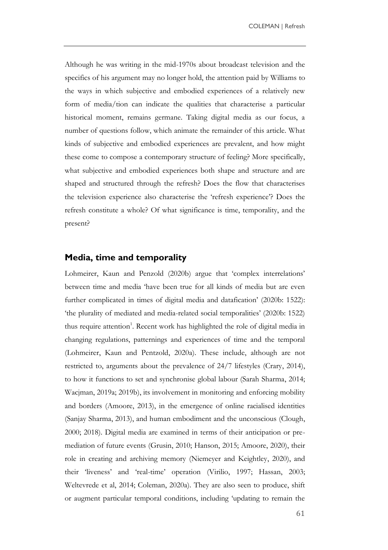Although he was writing in the mid-1970s about broadcast television and the specifics of his argument may no longer hold, the attention paid by Williams to the ways in which subjective and embodied experiences of a relatively new form of media/tion can indicate the qualities that characterise a particular historical moment, remains germane. Taking digital media as our focus, a number of questions follow, which animate the remainder of this article. What kinds of subjective and embodied experiences are prevalent, and how might these come to compose a contemporary structure of feeling? More specifically, what subjective and embodied experiences both shape and structure and are shaped and structured through the refresh? Does the flow that characterises the television experience also characterise the 'refresh experience'? Does the refresh constitute a whole? Of what significance is time, temporality, and the present?

#### **Media, time and temporality**

Lohmeirer, Kaun and Penzold (2020b) argue that 'complex interrelations' between time and media 'have been true for all kinds of media but are even further complicated in times of digital media and datafication' (2020b: 1522): ‗the plurality of mediated and media-related social temporalities' (2020b: 1522) thus require attention<sup>1</sup>. Recent work has highlighted the role of digital media in changing regulations, patternings and experiences of time and the temporal (Lohmeirer, Kaun and Pentzold, 2020a). These include, although are not restricted to, arguments about the prevalence of 24/7 lifestyles (Crary, 2014), to how it functions to set and synchronise global labour (Sarah Sharma, 2014; Wacjman, 2019a; 2019b), its involvement in monitoring and enforcing mobility and borders (Amoore, 2013), in the emergence of online racialised identities (Sanjay Sharma, 2013), and human embodiment and the unconscious (Clough, 2000; 2018). Digital media are examined in terms of their anticipation or premediation of future events (Grusin, 2010; Hanson, 2015; Amoore, 2020), their role in creating and archiving memory (Niemeyer and Keightley, 2020), and their 'liveness' and 'real-time' operation (Virilio, 1997; Hassan, 2003; Weltevrede et al, 2014; Coleman, 2020a). They are also seen to produce, shift or augment particular temporal conditions, including 'updating to remain the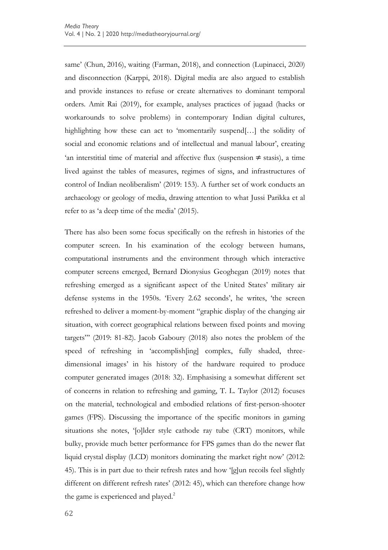same' (Chun, 2016), waiting (Farman, 2018), and connection (Lupinacci, 2020) and disconnection (Karppi, 2018). Digital media are also argued to establish and provide instances to refuse or create alternatives to dominant temporal orders. Amit Rai (2019), for example, analyses practices of jugaad (hacks or workarounds to solve problems) in contemporary Indian digital cultures, highlighting how these can act to 'momentarily suspend[...] the solidity of social and economic relations and of intellectual and manual labour', creating 'an interstitial time of material and affective flux (suspension  $\neq$  stasis), a time lived against the tables of measures, regimes of signs, and infrastructures of control of Indian neoliberalism' (2019: 153). A further set of work conducts an archaeology or geology of media, drawing attention to what Jussi Parikka et al refer to as 'a deep time of the media' (2015).

There has also been some focus specifically on the refresh in histories of the computer screen. In his examination of the ecology between humans, computational instruments and the environment through which interactive computer screens emerged, Bernard Dionysius Geoghegan (2019) notes that refreshing emerged as a significant aspect of the United States' military air defense systems in the 1950s. 'Every 2.62 seconds', he writes, 'the screen refreshed to deliver a moment-by-moment "graphic display of the changing air situation, with correct geographical relations between fixed points and moving targets" (2019: 81-82). Jacob Gaboury (2018) also notes the problem of the speed of refreshing in 'accomplish[ing] complex, fully shaded, threedimensional images' in his history of the hardware required to produce computer generated images (2018: 32). Emphasising a somewhat different set of concerns in relation to refreshing and gaming, T. L. Taylor (2012) focuses on the material, technological and embodied relations of first-person-shooter games (FPS). Discussing the importance of the specific monitors in gaming situations she notes, '[o]lder style cathode ray tube (CRT) monitors, while bulky, provide much better performance for FPS games than do the newer flat liquid crystal display (LCD) monitors dominating the market right now' (2012: 45). This is in part due to their refresh rates and how '[g]un recoils feel slightly different on different refresh rates' (2012: 45), which can therefore change how the game is experienced and played.<sup>2</sup>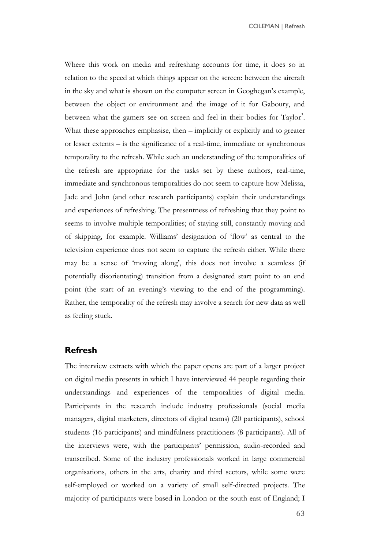Where this work on media and refreshing accounts for time, it does so in relation to the speed at which things appear on the screen: between the aircraft in the sky and what is shown on the computer screen in Geoghegan's example, between the object or environment and the image of it for Gaboury, and between what the gamers see on screen and feel in their bodies for Taylor<sup>3</sup>. What these approaches emphasise, then – implicitly or explicitly and to greater or lesser extents – is the significance of a real-time, immediate or synchronous temporality to the refresh. While such an understanding of the temporalities of the refresh are appropriate for the tasks set by these authors, real-time, immediate and synchronous temporalities do not seem to capture how Melissa, Jade and John (and other research participants) explain their understandings and experiences of refreshing. The presentness of refreshing that they point to seems to involve multiple temporalities; of staying still, constantly moving and of skipping, for example. Williams' designation of ‗flow' as central to the television experience does not seem to capture the refresh either. While there may be a sense of 'moving along', this does not involve a seamless (if potentially disorientating) transition from a designated start point to an end point (the start of an evening's viewing to the end of the programming). Rather, the temporality of the refresh may involve a search for new data as well as feeling stuck.

#### **Refresh**

The interview extracts with which the paper opens are part of a larger project on digital media presents in which I have interviewed 44 people regarding their understandings and experiences of the temporalities of digital media. Participants in the research include industry professionals (social media managers, digital marketers, directors of digital teams) (20 participants), school students (16 participants) and mindfulness practitioners (8 participants). All of the interviews were, with the participants' permission, audio-recorded and transcribed. Some of the industry professionals worked in large commercial organisations, others in the arts, charity and third sectors, while some were self-employed or worked on a variety of small self-directed projects. The majority of participants were based in London or the south east of England; I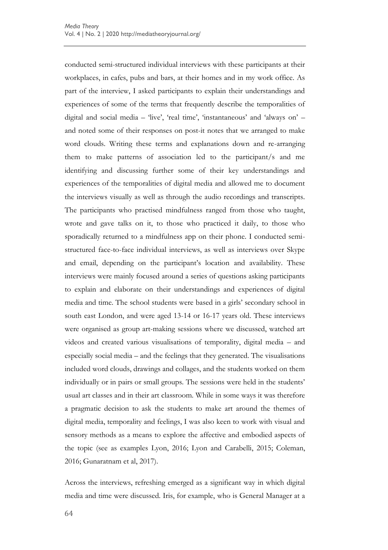conducted semi-structured individual interviews with these participants at their workplaces, in cafes, pubs and bars, at their homes and in my work office. As part of the interview, I asked participants to explain their understandings and experiences of some of the terms that frequently describe the temporalities of digital and social media – 'live', 'real time', 'instantaneous' and 'always on' – and noted some of their responses on post-it notes that we arranged to make word clouds. Writing these terms and explanations down and re-arranging them to make patterns of association led to the participant/s and me identifying and discussing further some of their key understandings and experiences of the temporalities of digital media and allowed me to document the interviews visually as well as through the audio recordings and transcripts. The participants who practised mindfulness ranged from those who taught, wrote and gave talks on it, to those who practiced it daily, to those who sporadically returned to a mindfulness app on their phone. I conducted semistructured face-to-face individual interviews, as well as interviews over Skype and email, depending on the participant's location and availability. These interviews were mainly focused around a series of questions asking participants to explain and elaborate on their understandings and experiences of digital media and time. The school students were based in a girls' secondary school in south east London, and were aged 13-14 or 16-17 years old. These interviews were organised as group art-making sessions where we discussed, watched art videos and created various visualisations of temporality, digital media – and especially social media – and the feelings that they generated. The visualisations included word clouds, drawings and collages, and the students worked on them individually or in pairs or small groups. The sessions were held in the students' usual art classes and in their art classroom. While in some ways it was therefore a pragmatic decision to ask the students to make art around the themes of digital media, temporality and feelings, I was also keen to work with visual and sensory methods as a means to explore the affective and embodied aspects of the topic (see as examples Lyon, 2016; Lyon and Carabelli, 2015; Coleman, 2016; Gunaratnam et al, 2017).

Across the interviews, refreshing emerged as a significant way in which digital media and time were discussed. Iris, for example, who is General Manager at a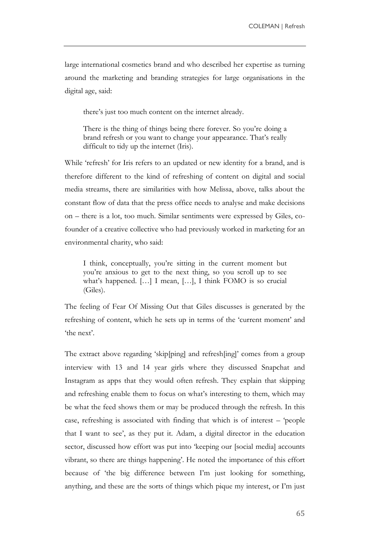large international cosmetics brand and who described her expertise as turning around the marketing and branding strategies for large organisations in the digital age, said:

there's just too much content on the internet already.

There is the thing of things being there forever. So you're doing a brand refresh or you want to change your appearance. That's really difficult to tidy up the internet (Iris).

While 'refresh' for Iris refers to an updated or new identity for a brand, and is therefore different to the kind of refreshing of content on digital and social media streams, there are similarities with how Melissa, above, talks about the constant flow of data that the press office needs to analyse and make decisions on – there is a lot, too much. Similar sentiments were expressed by Giles, cofounder of a creative collective who had previously worked in marketing for an environmental charity, who said:

I think, conceptually, you're sitting in the current moment but you're anxious to get to the next thing, so you scroll up to see what's happened. […] I mean, […], I think FOMO is so crucial (Giles).

The feeling of Fear Of Missing Out that Giles discusses is generated by the refreshing of content, which he sets up in terms of the 'current moment' and 'the next'.

The extract above regarding 'skip[ping] and refresh[ing]' comes from a group interview with 13 and 14 year girls where they discussed Snapchat and Instagram as apps that they would often refresh. They explain that skipping and refreshing enable them to focus on what's interesting to them, which may be what the feed shows them or may be produced through the refresh. In this case, refreshing is associated with finding that which is of interest  $-$  'people that I want to see', as they put it. Adam, a digital director in the education sector, discussed how effort was put into 'keeping our [social media] accounts vibrant, so there are things happening'. He noted the importance of this effort because of 'the big difference between I'm just looking for something, anything, and these are the sorts of things which pique my interest, or I'm just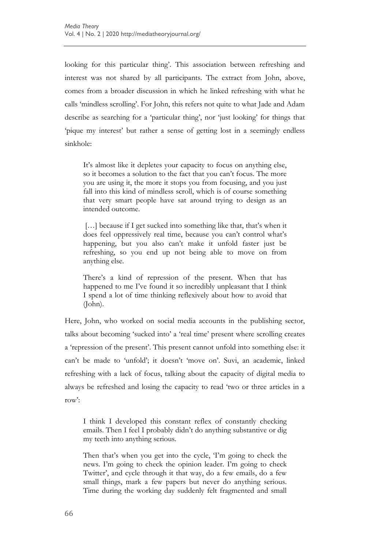looking for this particular thing'. This association between refreshing and interest was not shared by all participants. The extract from John, above, comes from a broader discussion in which he linked refreshing with what he calls ‗mindless scrolling'. For John, this refers not quite to what Jade and Adam describe as searching for a 'particular thing', nor 'just looking' for things that ‗pique my interest' but rather a sense of getting lost in a seemingly endless sinkhole:

It's almost like it depletes your capacity to focus on anything else, so it becomes a solution to the fact that you can't focus. The more you are using it, the more it stops you from focusing, and you just fall into this kind of mindless scroll, which is of course something that very smart people have sat around trying to design as an intended outcome.

[...] because if I get sucked into something like that, that's when it does feel oppressively real time, because you can't control what's happening, but you also can't make it unfold faster just be refreshing, so you end up not being able to move on from anything else.

There's a kind of repression of the present. When that has happened to me I've found it so incredibly unpleasant that I think I spend a lot of time thinking reflexively about how to avoid that (John).

Here, John, who worked on social media accounts in the publishing sector, talks about becoming 'sucked into' a 'real time' present where scrolling creates a 'repression of the present'. This present cannot unfold into something else: it can't be made to 'unfold'; it doesn't 'move on'. Suvi, an academic, linked refreshing with a lack of focus, talking about the capacity of digital media to always be refreshed and losing the capacity to read 'two or three articles in a row':

I think I developed this constant reflex of constantly checking emails. Then I feel I probably didn't do anything substantive or dig my teeth into anything serious.

Then that's when you get into the cycle, T'm going to check the news. I'm going to check the opinion leader. I'm going to check Twitter', and cycle through it that way, do a few emails, do a few small things, mark a few papers but never do anything serious. Time during the working day suddenly felt fragmented and small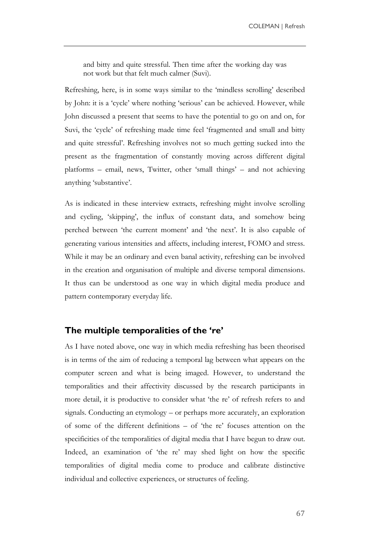and bitty and quite stressful. Then time after the working day was not work but that felt much calmer (Suvi).

Refreshing, here, is in some ways similar to the 'mindless scrolling' described by John: it is a 'cycle' where nothing 'serious' can be achieved. However, while John discussed a present that seems to have the potential to go on and on, for Suvi, the 'cycle' of refreshing made time feel 'fragmented and small and bitty and quite stressful'. Refreshing involves not so much getting sucked into the present as the fragmentation of constantly moving across different digital platforms – email, news, Twitter, other 'small things' – and not achieving anything 'substantive'.

As is indicated in these interview extracts, refreshing might involve scrolling and cycling, 'skipping', the influx of constant data, and somehow being perched between 'the current moment' and 'the next'. It is also capable of generating various intensities and affects, including interest, FOMO and stress. While it may be an ordinary and even banal activity, refreshing can be involved in the creation and organisation of multiple and diverse temporal dimensions. It thus can be understood as one way in which digital media produce and pattern contemporary everyday life.

## **The multiple temporalities of the 're'**

As I have noted above, one way in which media refreshing has been theorised is in terms of the aim of reducing a temporal lag between what appears on the computer screen and what is being imaged. However, to understand the temporalities and their affectivity discussed by the research participants in more detail, it is productive to consider what 'the re' of refresh refers to and signals. Conducting an etymology – or perhaps more accurately, an exploration of some of the different definitions – of 'the re' focuses attention on the specificities of the temporalities of digital media that I have begun to draw out. Indeed, an examination of 'the re' may shed light on how the specific temporalities of digital media come to produce and calibrate distinctive individual and collective experiences, or structures of feeling.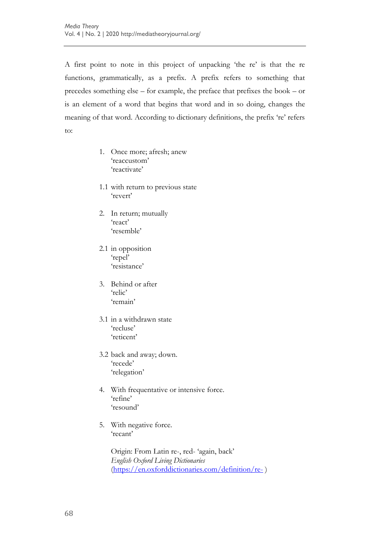A first point to note in this project of unpacking 'the re' is that the re functions, grammatically, as a prefix. A prefix refers to something that precedes something else – for example, the preface that prefixes the book – or is an element of a word that begins that word and in so doing, changes the meaning of that word. According to dictionary definitions, the prefix 're' refers to:

- 1. Once more; afresh; anew ‗reaccustom' 'reactivate'
- 1.1 with return to previous state ‗revert'
- 2. In return; mutually ‗react' 'resemble'
- 2.1 in opposition 'repel' ‗resistance'
- 3. Behind or after 'relic' ‗remain'
- 3.1 in a withdrawn state ‗recluse' 'reticent'
- 3.2 back and away; down. 'recede' ‗relegation'
- 4. With frequentative or intensive force. ‗refine' ‗resound'
- 5. With negative force. ‗recant'

Origin: From Latin re-, red- ‗again, back' *English Oxford Living Dictionaries* [\(https://en.oxforddictionaries.com/definition/re-](https://en.oxforddictionaries.com/definition/re-) )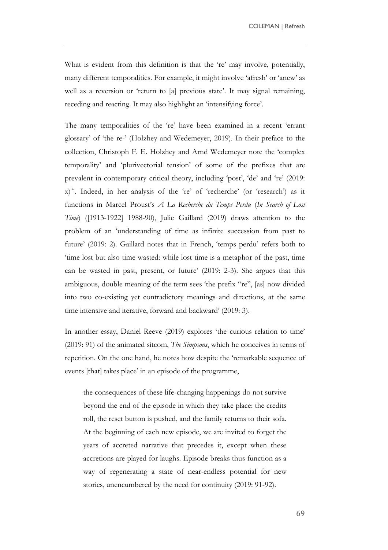What is evident from this definition is that the 're' may involve, potentially, many different temporalities. For example, it might involve 'afresh' or 'anew' as well as a reversion or 'return to [a] previous state'. It may signal remaining, receding and reacting. It may also highlight an 'intensifying force'.

The many temporalities of the 're' have been examined in a recent 'errant glossary' of 'the re-' (Holzhey and Wedemeyer, 2019). In their preface to the collection, Christoph F. E. Holzhey and Arnd Wedemeyer note the 'complex temporality' and 'plurivectorial tension' of some of the prefixes that are prevalent in contemporary critical theory, including 'post', 'de' and 're' (2019:  $(x)$ <sup>4</sup>. Indeed, in her analysis of the 're' of 'recherche' (or 'research') as it functions in Marcel Proust's *A La Recherche du Temps Perdu* (*In Search of Lost Time*) ([1913-1922] 1988-90), Julie Gaillard (2019) draws attention to the problem of an 'understanding of time as infinite succession from past to future' (2019: 2). Gaillard notes that in French, 'temps perdu' refers both to ‗time lost but also time wasted: while lost time is a metaphor of the past, time can be wasted in past, present, or future' (2019: 2-3). She argues that this ambiguous, double meaning of the term sees 'the prefix "re", [as] now divided into two co-existing yet contradictory meanings and directions, at the same time intensive and iterative, forward and backward' (2019: 3).

In another essay, Daniel Reeve (2019) explores 'the curious relation to time' (2019: 91) of the animated sitcom, *The Simpsons*, which he conceives in terms of repetition. On the one hand, he notes how despite the 'remarkable sequence of events [that] takes place' in an episode of the programme,

the consequences of these life-changing happenings do not survive beyond the end of the episode in which they take place: the credits roll, the reset button is pushed, and the family returns to their sofa. At the beginning of each new episode, we are invited to forget the years of accreted narrative that precedes it, except when these accretions are played for laughs. Episode breaks thus function as a way of regenerating a state of near-endless potential for new stories, unencumbered by the need for continuity (2019: 91-92).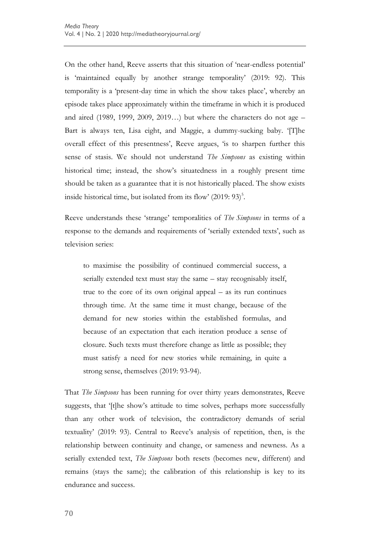On the other hand, Reeve asserts that this situation of 'near-endless potential' is 'maintained equally by another strange temporality' (2019: 92). This temporality is a 'present-day time in which the show takes place', whereby an episode takes place approximately within the timeframe in which it is produced and aired (1989, 1999, 2009, 2019…) but where the characters do not age – Bart is always ten, Lisa eight, and Maggie, a dummy-sucking baby. '[T]he overall effect of this presentness', Reeve argues, 'is to sharpen further this sense of stasis. We should not understand *The Simpsons* as existing within historical time; instead, the show's situatedness in a roughly present time should be taken as a guarantee that it is not historically placed. The show exists inside historical time, but isolated from its flow'  $(2019:93)^5$ .

Reeve understands these 'strange' temporalities of *The Simpsons* in terms of a response to the demands and requirements of 'serially extended texts', such as television series:

to maximise the possibility of continued commercial success, a serially extended text must stay the same – stay recognisably itself, true to the core of its own original appeal – as its run continues through time. At the same time it must change, because of the demand for new stories within the established formulas, and because of an expectation that each iteration produce a sense of closure. Such texts must therefore change as little as possible; they must satisfy a need for new stories while remaining, in quite a strong sense, themselves (2019: 93-94).

That *The Simpsons* has been running for over thirty years demonstrates, Reeve suggests, that '[t]he show's attitude to time solves, perhaps more successfully than any other work of television, the contradictory demands of serial textuality' (2019: 93). Central to Reeve's analysis of repetition, then, is the relationship between continuity and change, or sameness and newness. As a serially extended text, *The Simpsons* both resets (becomes new, different) and remains (stays the same); the calibration of this relationship is key to its endurance and success.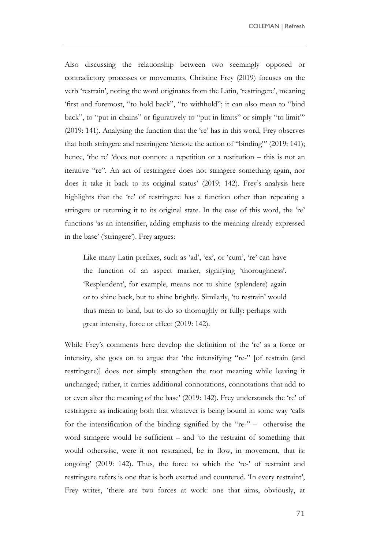Also discussing the relationship between two seemingly opposed or contradictory processes or movements, Christine Frey (2019) focuses on the verb 'restrain', noting the word originates from the Latin, 'restringere', meaning 'first and foremost, "to hold back", "to withhold"; it can also mean to "bind back", to "put in chains" or figuratively to "put in limits" or simply "to limit" (2019: 141). Analysing the function that the 're' has in this word, Frey observes that both stringere and restringere 'denote the action of "binding" (2019: 141); hence, 'the re' 'does not connote a repetition or a restitution  $-$  this is not an iterative "re". An act of restringere does not stringere something again, nor does it take it back to its original status' (2019: 142). Frey's analysis here highlights that the 're' of restringere has a function other than repeating a stringere or returning it to its original state. In the case of this word, the 're' functions ‗as an intensifier, adding emphasis to the meaning already expressed in the base' ('stringere'). Frey argues:

Like many Latin prefixes, such as 'ad', 'ex', or 'cum', 're' can have the function of an aspect marker, signifying 'thoroughness'. ‗Resplendent', for example, means not to shine (splendere) again or to shine back, but to shine brightly. Similarly, ‗to restrain' would thus mean to bind, but to do so thoroughly or fully: perhaps with great intensity, force or effect (2019: 142).

While Frey's comments here develop the definition of the 're' as a force or intensity, she goes on to argue that 'the intensifying "re-" [of restrain (and restringere)] does not simply strengthen the root meaning while leaving it unchanged; rather, it carries additional connotations, connotations that add to or even alter the meaning of the base' (2019: 142). Frey understands the 're' of restringere as indicating both that whatever is being bound in some way 'calls for the intensification of the binding signified by the " $re-$ " – otherwise the word stringere would be sufficient – and 'to the restraint of something that would otherwise, were it not restrained, be in flow, in movement, that is: ongoing' (2019: 142). Thus, the force to which the 're-' of restraint and restringere refers is one that is both exerted and countered. 'In every restraint', Frey writes, 'there are two forces at work: one that aims, obviously, at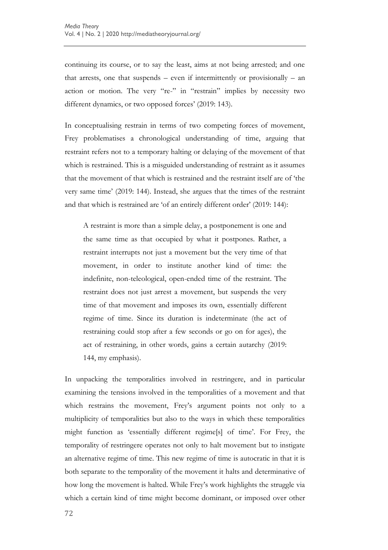continuing its course, or to say the least, aims at not being arrested; and one that arrests, one that suspends – even if intermittently or provisionally – an action or motion. The very "re-" in "restrain" implies by necessity two different dynamics, or two opposed forces' (2019: 143).

In conceptualising restrain in terms of two competing forces of movement, Frey problematises a chronological understanding of time, arguing that restraint refers not to a temporary halting or delaying of the movement of that which is restrained. This is a misguided understanding of restraint as it assumes that the movement of that which is restrained and the restraint itself are of 'the very same time' (2019: 144). Instead, she argues that the times of the restraint and that which is restrained are 'of an entirely different order' (2019: 144):

A restraint is more than a simple delay, a postponement is one and the same time as that occupied by what it postpones. Rather, a restraint interrupts not just a movement but the very time of that movement, in order to institute another kind of time: the indefinite, non-teleological, open-ended time of the restraint. The restraint does not just arrest a movement, but suspends the very time of that movement and imposes its own, essentially different regime of time. Since its duration is indeterminate (the act of restraining could stop after a few seconds or go on for ages), the act of restraining, in other words, gains a certain autarchy (2019: 144, my emphasis).

In unpacking the temporalities involved in restringere, and in particular examining the tensions involved in the temporalities of a movement and that which restrains the movement, Frey's argument points not only to a multiplicity of temporalities but also to the ways in which these temporalities might function as 'essentially different regime[s] of time'. For Frey, the temporality of restringere operates not only to halt movement but to instigate an alternative regime of time. This new regime of time is autocratic in that it is both separate to the temporality of the movement it halts and determinative of how long the movement is halted. While Frey's work highlights the struggle via which a certain kind of time might become dominant, or imposed over other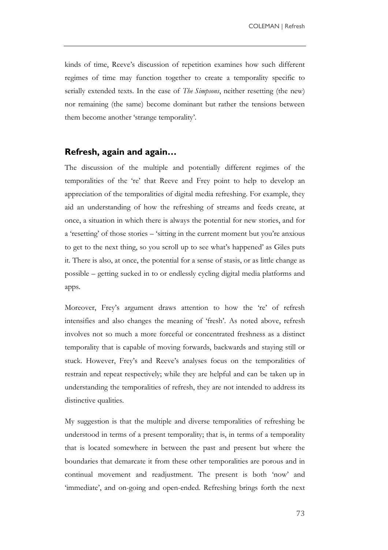kinds of time, Reeve's discussion of repetition examines how such different regimes of time may function together to create a temporality specific to serially extended texts. In the case of *The Simpsons*, neither resetting (the new) nor remaining (the same) become dominant but rather the tensions between them become another 'strange temporality'.

### **Refresh, again and again…**

The discussion of the multiple and potentially different regimes of the temporalities of the 're' that Reeve and Frey point to help to develop an appreciation of the temporalities of digital media refreshing. For example, they aid an understanding of how the refreshing of streams and feeds create, at once, a situation in which there is always the potential for new stories, and for a 'resetting' of those stories – 'sitting in the current moment but you're anxious to get to the next thing, so you scroll up to see what's happened' as Giles puts it. There is also, at once, the potential for a sense of stasis, or as little change as possible – getting sucked in to or endlessly cycling digital media platforms and apps.

Moreover, Frey's argument draws attention to how the 're' of refresh intensifies and also changes the meaning of 'fresh'. As noted above, refresh involves not so much a more forceful or concentrated freshness as a distinct temporality that is capable of moving forwards, backwards and staying still or stuck. However, Frey's and Reeve's analyses focus on the temporalities of restrain and repeat respectively; while they are helpful and can be taken up in understanding the temporalities of refresh, they are not intended to address its distinctive qualities.

My suggestion is that the multiple and diverse temporalities of refreshing be understood in terms of a present temporality; that is, in terms of a temporality that is located somewhere in between the past and present but where the boundaries that demarcate it from these other temporalities are porous and in continual movement and readjustment. The present is both 'now' and ‗immediate', and on-going and open-ended. Refreshing brings forth the next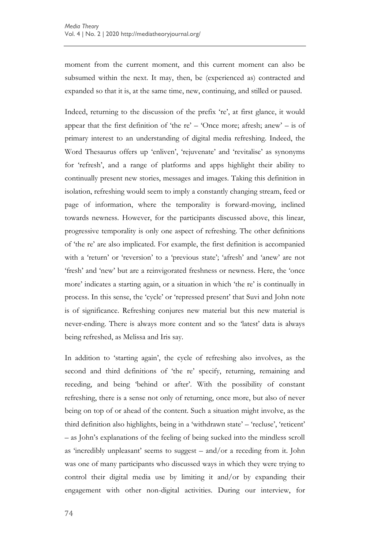moment from the current moment, and this current moment can also be subsumed within the next. It may, then, be (experienced as) contracted and expanded so that it is, at the same time, new, continuing, and stilled or paused.

Indeed, returning to the discussion of the prefix 're', at first glance, it would appear that the first definition of 'the re' – 'Once more; afresh; anew' – is of primary interest to an understanding of digital media refreshing. Indeed, the Word Thesaurus offers up 'enliven', 'rejuvenate' and 'revitalise' as synonyms for 'refresh', and a range of platforms and apps highlight their ability to continually present new stories, messages and images. Taking this definition in isolation, refreshing would seem to imply a constantly changing stream, feed or page of information, where the temporality is forward-moving, inclined towards newness. However, for the participants discussed above, this linear, progressive temporality is only one aspect of refreshing. The other definitions of 'the re' are also implicated. For example, the first definition is accompanied with a 'return' or 'reversion' to a 'previous state'; 'afresh' and 'anew' are not 'fresh' and 'new' but are a reinvigorated freshness or newness. Here, the 'once more' indicates a starting again, or a situation in which 'the re' is continually in process. In this sense, the 'cycle' or 'repressed present' that Suvi and John note is of significance. Refreshing conjures new material but this new material is never-ending. There is always more content and so the 'latest' data is always being refreshed, as Melissa and Iris say.

In addition to 'starting again', the cycle of refreshing also involves, as the second and third definitions of 'the re' specify, returning, remaining and receding, and being 'behind or after'. With the possibility of constant refreshing, there is a sense not only of returning, once more, but also of never being on top of or ahead of the content. Such a situation might involve, as the third definition also highlights, being in a 'withdrawn state' – 'recluse', 'reticent' – as John's explanations of the feeling of being sucked into the mindless scroll as 'incredibly unpleasant' seems to suggest  $-$  and/or a receding from it. John was one of many participants who discussed ways in which they were trying to control their digital media use by limiting it and/or by expanding their engagement with other non-digital activities. During our interview, for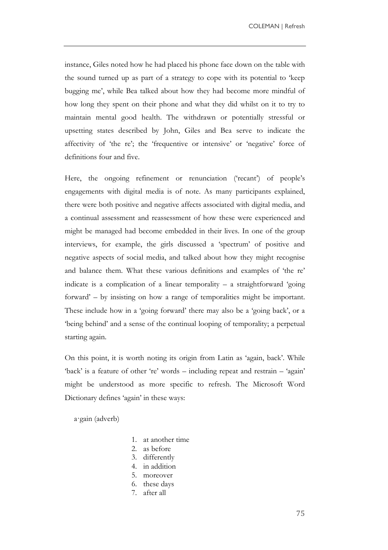instance, Giles noted how he had placed his phone face down on the table with the sound turned up as part of a strategy to cope with its potential to 'keep bugging me', while Bea talked about how they had become more mindful of how long they spent on their phone and what they did whilst on it to try to maintain mental good health. The withdrawn or potentially stressful or upsetting states described by John, Giles and Bea serve to indicate the affectivity of 'the re'; the 'frequentive or intensive' or 'negative' force of definitions four and five.

Here, the ongoing refinement or renunciation ('recant') of people's engagements with digital media is of note. As many participants explained, there were both positive and negative affects associated with digital media, and a continual assessment and reassessment of how these were experienced and might be managed had become embedded in their lives. In one of the group interviews, for example, the girls discussed a 'spectrum' of positive and negative aspects of social media, and talked about how they might recognise and balance them. What these various definitions and examples of 'the re' indicate is a complication of a linear temporality  $-$  a straightforward 'going forward' – by insisting on how a range of temporalities might be important. These include how in a 'going forward' there may also be a 'going back', or a ‗being behind' and a sense of the continual looping of temporality; a perpetual starting again.

On this point, it is worth noting its origin from Latin as 'again, back'. While 'back' is a feature of other 're' words – including repeat and restrain – 'again' might be understood as more specific to refresh. The Microsoft Word Dictionary defines 'again' in these ways:

a·gain (adverb)

- 1. at another time
- 2. as before
- 3. differently
- 4. in addition
- 5. moreover
- 6. these days
- 7. after all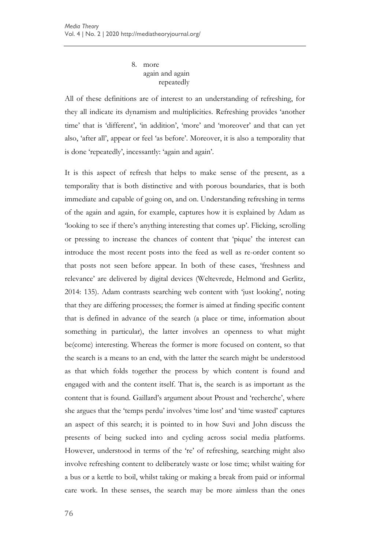8. more again and again repeatedly

All of these definitions are of interest to an understanding of refreshing, for they all indicate its dynamism and multiplicities. Refreshing provides 'another time' that is 'different', 'in addition', 'more' and 'moreover' and that can yet also, ‗after all', appear or feel ‗as before'. Moreover, it is also a temporality that is done 'repeatedly', incessantly: 'again and again'.

It is this aspect of refresh that helps to make sense of the present, as a temporality that is both distinctive and with porous boundaries, that is both immediate and capable of going on, and on. Understanding refreshing in terms of the again and again, for example, captures how it is explained by Adam as looking to see if there's anything interesting that comes up'. Flicking, scrolling or pressing to increase the chances of content that 'pique' the interest can introduce the most recent posts into the feed as well as re-order content so that posts not seen before appear. In both of these cases, 'freshness and relevance' are delivered by digital devices (Weltevrede, Helmond and Gerlitz, 2014: 135). Adam contrasts searching web content with ‗just looking', noting that they are differing processes; the former is aimed at finding specific content that is defined in advance of the search (a place or time, information about something in particular), the latter involves an openness to what might be(come) interesting. Whereas the former is more focused on content, so that the search is a means to an end, with the latter the search might be understood as that which folds together the process by which content is found and engaged with and the content itself. That is, the search is as important as the content that is found. Gaillard's argument about Proust and 'recherche', where she argues that the 'temps perdu' involves 'time lost' and 'time wasted' captures an aspect of this search; it is pointed to in how Suvi and John discuss the presents of being sucked into and cycling across social media platforms. However, understood in terms of the 're' of refreshing, searching might also involve refreshing content to deliberately waste or lose time; whilst waiting for a bus or a kettle to boil, whilst taking or making a break from paid or informal care work. In these senses, the search may be more aimless than the ones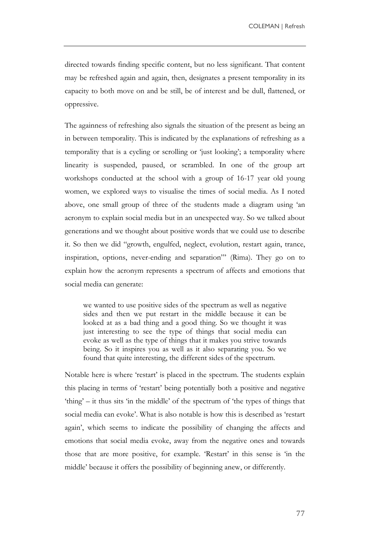directed towards finding specific content, but no less significant. That content may be refreshed again and again, then, designates a present temporality in its capacity to both move on and be still, be of interest and be dull, flattened, or oppressive.

The againness of refreshing also signals the situation of the present as being an in between temporality. This is indicated by the explanations of refreshing as a temporality that is a cycling or scrolling or 'just looking'; a temporality where linearity is suspended, paused, or scrambled. In one of the group art workshops conducted at the school with a group of 16-17 year old young women, we explored ways to visualise the times of social media. As I noted above, one small group of three of the students made a diagram using 'an acronym to explain social media but in an unexpected way. So we talked about generations and we thought about positive words that we could use to describe it. So then we did "growth, engulfed, neglect, evolution, restart again, trance, inspiration, options, never-ending and separation" (Rima). They go on to explain how the acronym represents a spectrum of affects and emotions that social media can generate:

we wanted to use positive sides of the spectrum as well as negative sides and then we put restart in the middle because it can be looked at as a bad thing and a good thing. So we thought it was just interesting to see the type of things that social media can evoke as well as the type of things that it makes you strive towards being. So it inspires you as well as it also separating you. So we found that quite interesting, the different sides of the spectrum.

Notable here is where 'restart' is placed in the spectrum. The students explain this placing in terms of 'restart' being potentially both a positive and negative  $'$ thing' – it thus sits 'in the middle' of the spectrum of 'the types of things that social media can evoke'. What is also notable is how this is described as 'restart again', which seems to indicate the possibility of changing the affects and emotions that social media evoke, away from the negative ones and towards those that are more positive, for example. 'Restart' in this sense is 'in the middle' because it offers the possibility of beginning anew, or differently.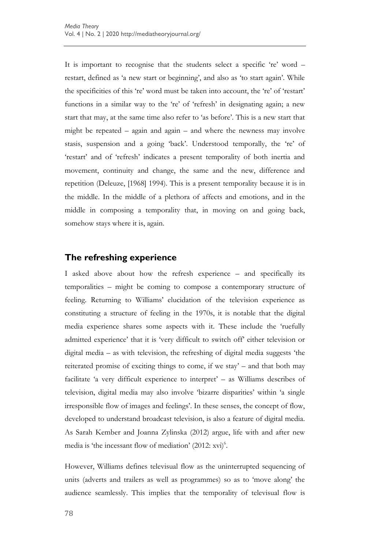It is important to recognise that the students select a specific 're' word – restart, defined as 'a new start or beginning', and also as 'to start again'. While the specificities of this 're' word must be taken into account, the 're' of 'restart' functions in a similar way to the 're' of 'refresh' in designating again; a new start that may, at the same time also refer to 'as before'. This is a new start that might be repeated – again and again – and where the newness may involve stasis, suspension and a going 'back'. Understood temporally, the 're' of ‗restart' and of ‗refresh' indicates a present temporality of both inertia and movement, continuity and change, the same and the new, difference and repetition (Deleuze, [1968] 1994). This is a present temporality because it is in the middle. In the middle of a plethora of affects and emotions, and in the middle in composing a temporality that, in moving on and going back, somehow stays where it is, again.

# **The refreshing experience**

I asked above about how the refresh experience – and specifically its temporalities – might be coming to compose a contemporary structure of feeling. Returning to Williams' elucidation of the television experience as constituting a structure of feeling in the 1970s, it is notable that the digital media experience shares some aspects with it. These include the 'ruefully admitted experience' that it is 'very difficult to switch off' either television or digital media  $-$  as with television, the refreshing of digital media suggests 'the reiterated promise of exciting things to come, if we stay' – and that both may facilitate 'a very difficult experience to interpret' – as Williams describes of television, digital media may also involve 'bizarre disparities' within 'a single irresponsible flow of images and feelings'. In these senses, the concept of flow, developed to understand broadcast television, is also a feature of digital media. As Sarah Kember and Joanna Zylinska (2012) argue, life with and after new media is 'the incessant flow of mediation'  $(2012: xvi)^6$ .

However, Williams defines televisual flow as the uninterrupted sequencing of units (adverts and trailers as well as programmes) so as to 'move along' the audience seamlessly. This implies that the temporality of televisual flow is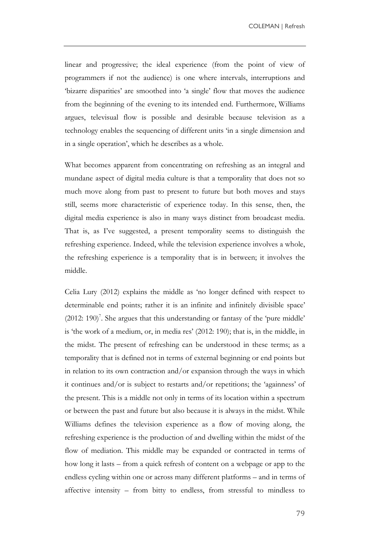linear and progressive; the ideal experience (from the point of view of programmers if not the audience) is one where intervals, interruptions and ‗bizarre disparities' are smoothed into ‗a single' flow that moves the audience from the beginning of the evening to its intended end. Furthermore, Williams argues, televisual flow is possible and desirable because television as a technology enables the sequencing of different units ‗in a single dimension and in a single operation', which he describes as a whole.

What becomes apparent from concentrating on refreshing as an integral and mundane aspect of digital media culture is that a temporality that does not so much move along from past to present to future but both moves and stays still, seems more characteristic of experience today. In this sense, then, the digital media experience is also in many ways distinct from broadcast media. That is, as I've suggested, a present temporality seems to distinguish the refreshing experience. Indeed, while the television experience involves a whole, the refreshing experience is a temporality that is in between; it involves the middle.

Celia Lury (2012) explains the middle as 'no longer defined with respect to determinable end points; rather it is an infinite and infinitely divisible space'  $(2012: 190)^7$ . She argues that this understanding or fantasy of the 'pure middle' is 'the work of a medium, or, in media res' (2012: 190); that is, in the middle, in the midst. The present of refreshing can be understood in these terms; as a temporality that is defined not in terms of external beginning or end points but in relation to its own contraction and/or expansion through the ways in which it continues and/or is subject to restarts and/or repetitions; the 'againness' of the present. This is a middle not only in terms of its location within a spectrum or between the past and future but also because it is always in the midst. While Williams defines the television experience as a flow of moving along, the refreshing experience is the production of and dwelling within the midst of the flow of mediation. This middle may be expanded or contracted in terms of how long it lasts – from a quick refresh of content on a webpage or app to the endless cycling within one or across many different platforms – and in terms of affective intensity – from bitty to endless, from stressful to mindless to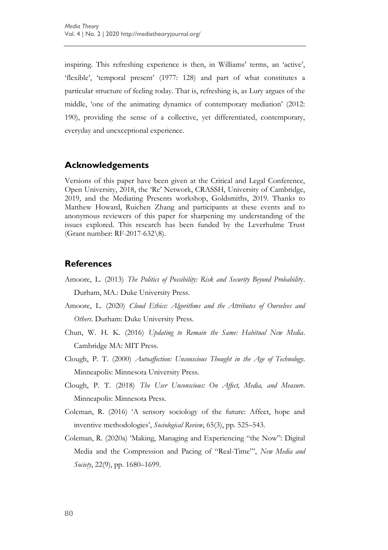inspiring. This refreshing experience is then, in Williams' terms, an ‗active', ‗flexible', ‗temporal present' (1977: 128) and part of what constitutes a particular structure of feeling today. That is, refreshing is, as Lury argues of the middle, 'one of the animating dynamics of contemporary mediation' (2012: 190), providing the sense of a collective, yet differentiated, contemporary, everyday and unexceptional experience.

#### **Acknowledgements**

Versions of this paper have been given at the Critical and Legal Conference, Open University, 2018, the 'Re' Network, CRASSH, University of Cambridge, 2019, and the Mediating Presents workshop, Goldsmiths, 2019. Thanks to Matthew Howard, Ruichen Zhang and participants at these events and to anonymous reviewers of this paper for sharpening my understanding of the issues explored. This research has been funded by the Leverhulme Trust (Grant number: RF-2017-632\8).

#### **References**

- Amoore, L. (2013) *The Politics of Possibility: Risk and Security Beyond Probabilit*y. Durham, MA.: Duke University Press.
- Amoore, L. (2020) *Cloud Ethics: Algorithms and the Attributes of Ourselves and Others*. Durham: Duke University Press.
- Chun, W. H. K. (2016) *Updating to Remain the Same: Habitual New Media*. Cambridge MA: MIT Press.
- Clough, P. T. (2000) *Autoaffection: Unconscious Thought in the Age of Technology*. Minneapolis: Minnesota University Press.
- Clough, P. T. (2018) *The User Unconscious: On Affect, Media, and Measure*. Minneapolis: Minnesota Press.
- Coleman, R. (2016) ‗A sensory sociology of the future: Affect, hope and inventive methodologies', *Sociological Review*, 65(3), pp. 525–543.
- Coleman, R. (2020a) 'Making, Managing and Experiencing "the Now": Digital Media and the Compression and Pacing of "Real-Time"', *New Media and Society*, 22(9), pp. 1680–1699.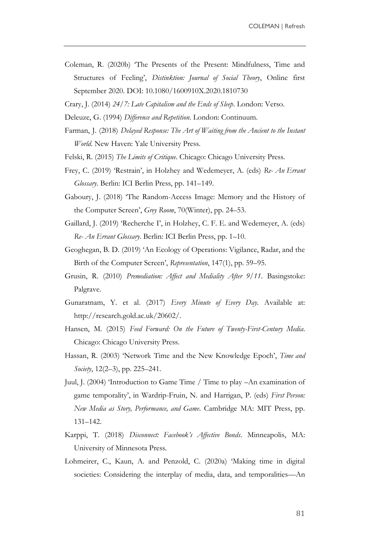- Coleman, R. (2020b) ‗The Presents of the Present: Mindfulness, Time and Structures of Feeling', *Distinktion: Journal of Social Theory*, Online first September 2020. DOI: 10.1080/1600910X.2020.1810730
- Crary, J. (2014) *24/7: Late Capitalism and the Ends of Sleep*. London: Verso.
- Deleuze, G. (1994) *Difference and Repetition*. London: Continuum.
- Farman, J. (2018) *Delayed Response: The Art of Waiting from the Ancient to the Instant World*. New Haven: Yale University Press.
- Felski, R. (2015) *The Limits of Critique*. Chicago: Chicago University Press.
- Frey, C. (2019) ‗Restrain', in Holzhey and Wedemeyer, A. (eds) *Re- An Errant Glossary*. Berlin: ICI Berlin Press, pp. 141–149.
- Gaboury, J. (2018) ‗The Random-Access Image: Memory and the History of the Computer Screen', *Grey Room*, 70(Winter), pp. 24–53.
- Gaillard, J. (2019) 'Recherche I', in Holzhey, C. F. E. and Wedemeyer, A. (eds) *Re- An Errant Glossary*. Berlin: ICI Berlin Press, pp. 1–10.
- Geoghegan, B. D. (2019) ‗An Ecology of Operations: Vigilance, Radar, and the Birth of the Computer Screen', *Representation*, 147(1), pp. 59–95.
- Grusin, R. (2010) *Premediation: Affect and Mediality After 9/11*. Basingstoke: Palgrave.
- Gunaratnam, Y. et al. (2017) *Every Minute of Every Day*. Available at: http://research.gold.ac.uk/20602/.
- Hansen, M. (2015) *Feed Forward: On the Future of Twenty-First-Century Media*. Chicago: Chicago University Press.
- Hassan, R. (2003) 'Network Time and the New Knowledge Epoch', *Time and Society*, 12(2–3), pp. 225–241.
- Juul, J. (2004) ‗Introduction to Game Time / Time to play –An examination of game temporality', in Wardrip-Fruin, N. and Harrigan, P. (eds) *First Person: New Media as Story, Performance, and Game*. Cambridge MA: MIT Press, pp. 131–142.
- Karppi, T. (2018) *Disconnect: Facebook's Affective Bonds*. Minneapolis, MA: University of Minnesota Press.
- Lohmeirer, C., Kaun, A. and Penzold, C. (2020a) 'Making time in digital societies: Considering the interplay of media, data, and temporalities—An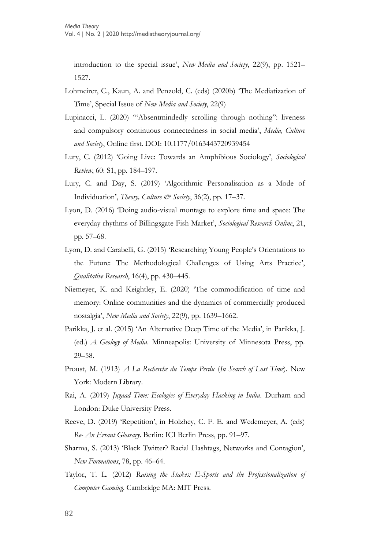introduction to the special issue', *New Media and Society*, 22(9), pp. 1521– 1527.

- Lohmeirer, C., Kaun, A. and Penzold, C. (eds) (2020b) 'The Mediatization of Time', Special Issue of *New Media and Society*, 22(9)
- Lupinacci, L. (2020) "Absentmindedly scrolling through nothing": liveness and compulsory continuous connectedness in social media', *Media, Culture and Society*, Online first. DOI: 10.1177/0163443720939454
- Lury, C. (2012) ‗Going Live: Towards an Amphibious Sociology', *Sociological Review*, 60: S1, pp. 184–197.
- Lury, C. and Day, S. (2019) 'Algorithmic Personalisation as a Mode of Individuation', *Theory, Culture & Society*, 36(2), pp. 17–37.
- Lyon, D. (2016) ‗Doing audio-visual montage to explore time and space: The everyday rhythms of Billingsgate Fish Market', *Sociological Research Online*, 21, pp. 57–68.
- Lyon, D. and Carabelli, G. (2015) ‗Researching Young People's Orientations to the Future: The Methodological Challenges of Using Arts Practice', *Qualitative Research*, 16(4), pp. 430–445.
- Niemeyer, K. and Keightley, E. (2020) ‗The commodification of time and memory: Online communities and the dynamics of commercially produced nostalgia', *New Media and Society*, 22(9), pp. 1639–1662.
- Parikka, J. et al. (2015) 'An Alternative Deep Time of the Media', in Parikka, J. (ed.) *A Geology of Media*. Minneapolis: University of Minnesota Press, pp. 29–58.
- Proust, M. (1913) *A La Recherche du Temps Perdu* (*In Search of Lost Time*). New York: Modern Library.
- Rai, A. (2019) *Jugaad Time: Ecologies of Everyday Hacking in India*. Durham and London: Duke University Press.
- Reeve, D. (2019) 'Repetition', in Holzhey, C. F. E. and Wedemeyer, A. (eds) *Re- An Errant Glossary*. Berlin: ICI Berlin Press, pp. 91–97.
- Sharma, S. (2013) 'Black Twitter? Racial Hashtags, Networks and Contagion', *New Formations*, 78, pp. 46–64.
- Taylor, T. L. (2012) *Raising the Stakes: E-Sports and the Professionalization of Computer Gaming*. Cambridge MA: MIT Press.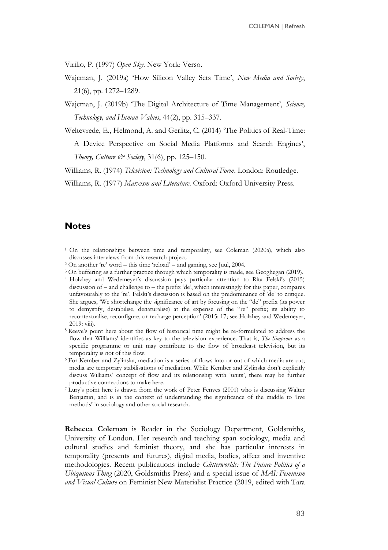Virilio, P. (1997) *Open Sky*. New York: Verso.

Wajcman, J. (2019a) ‗How Silicon Valley Sets Time', *New Media and Society*, 21(6), pp. 1272–1289.

Wajcman, J. (2019b) ‗The Digital Architecture of Time Management', *Science, Technology, and Human Values*, 44(2), pp. 315–337.

Weltevrede, E., Helmond, A. and Gerlitz, C. (2014) ‗The Politics of Real-Time: A Device Perspective on Social Media Platforms and Search Engines',

*Theory, Culture & Society*, 31(6), pp. 125–150.

Williams, R. (1974) *Television: Technology and Cultural Form*. London: Routledge.

Williams, R. (1977) *Marxism and Literature*. Oxford: Oxford University Press.

### **Notes**

- <sup>1</sup> On the relationships between time and temporality, see Coleman (2020a), which also discusses interviews from this research project.
- $2$  On another 're' word this time 'reload' and gaming, see Juul, 2004.
- <sup>3</sup> On buffering as a further practice through which temporality is made, see Geoghegan (2019).

<sup>4</sup> Holzhey and Wedemeyer's discussion pays particular attention to Rita Felski's (2015) discussion of – and challenge to – the prefix 'de', which interestingly for this paper, compares unfavourably to the 're'. Felski's discussion is based on the predominance of 'de' to critique. She argues, 'We shortchange the significance of art by focusing on the "de" prefix (its power to demystify, destabilise, denaturalise) at the expense of the "re" prefix; its ability to recontextualise, reconfigure, or recharge perception' (2015: 17; see Holzhey and Wedemeyer, 2019: viii).

- <sup>5</sup> Reeve's point here about the flow of historical time might be re-formulated to address the flow that Williams' identifies as key to the television experience. That is, *The Simpsons* as a specific programme or unit may contribute to the flow of broadcast television, but its temporality is not of this flow.
- <sup>6</sup> For Kember and Zylinska, mediation is a series of flows into or out of which media are cut; media are temporary stabilisations of mediation. While Kember and Zylinska don't explicitly discuss Williams' concept of flow and its relationship with ‗units', there may be further productive connections to make here.
- <sup>7</sup> Lury's point here is drawn from the work of Peter Fenves (2001) who is discussing Walter Benjamin, and is in the context of understanding the significance of the middle to 'live methods' in sociology and other social research.

**Rebecca Coleman** is Reader in the Sociology Department, Goldsmiths, University of London. Her research and teaching span sociology, media and cultural studies and feminist theory, and she has particular interests in temporality (presents and futures), digital media, bodies, affect and inventive methodologies. Recent publications include *Glitterworlds: The Future Politics of a Ubiquitous Thing* (2020, Goldsmiths Press) and a special issue of *MAI: Feminism and Visual Culture* on Feminist New Materialist Practice (2019, edited with Tara